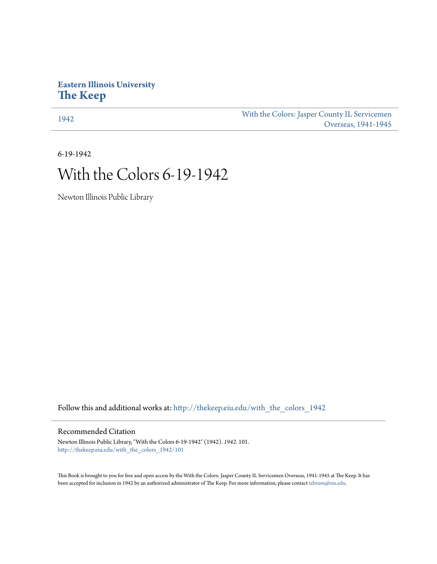## **Eastern Illinois University [The Keep](http://thekeep.eiu.edu?utm_source=thekeep.eiu.edu%2Fwith_the_colors_1942%2F101&utm_medium=PDF&utm_campaign=PDFCoverPages)**

[1942](http://thekeep.eiu.edu/with_the_colors_1942?utm_source=thekeep.eiu.edu%2Fwith_the_colors_1942%2F101&utm_medium=PDF&utm_campaign=PDFCoverPages) [With the Colors: Jasper County IL Servicemen](http://thekeep.eiu.edu/with_the_colors?utm_source=thekeep.eiu.edu%2Fwith_the_colors_1942%2F101&utm_medium=PDF&utm_campaign=PDFCoverPages) [Overseas, 1941-1945](http://thekeep.eiu.edu/with_the_colors?utm_source=thekeep.eiu.edu%2Fwith_the_colors_1942%2F101&utm_medium=PDF&utm_campaign=PDFCoverPages)

6-19-1942

## With the Colors 6-19-1942

Newton Illinois Public Library

Follow this and additional works at: [http://thekeep.eiu.edu/with\\_the\\_colors\\_1942](http://thekeep.eiu.edu/with_the_colors_1942?utm_source=thekeep.eiu.edu%2Fwith_the_colors_1942%2F101&utm_medium=PDF&utm_campaign=PDFCoverPages)

## Recommended Citation

Newton Illinois Public Library, "With the Colors 6-19-1942" (1942). *1942*. 101. [http://thekeep.eiu.edu/with\\_the\\_colors\\_1942/101](http://thekeep.eiu.edu/with_the_colors_1942/101?utm_source=thekeep.eiu.edu%2Fwith_the_colors_1942%2F101&utm_medium=PDF&utm_campaign=PDFCoverPages)

This Book is brought to you for free and open access by the With the Colors: Jasper County IL Servicemen Overseas, 1941-1945 at The Keep. It has been accepted for inclusion in 1942 by an authorized administrator of The Keep. For more information, please contact [tabruns@eiu.edu](mailto:tabruns@eiu.edu).